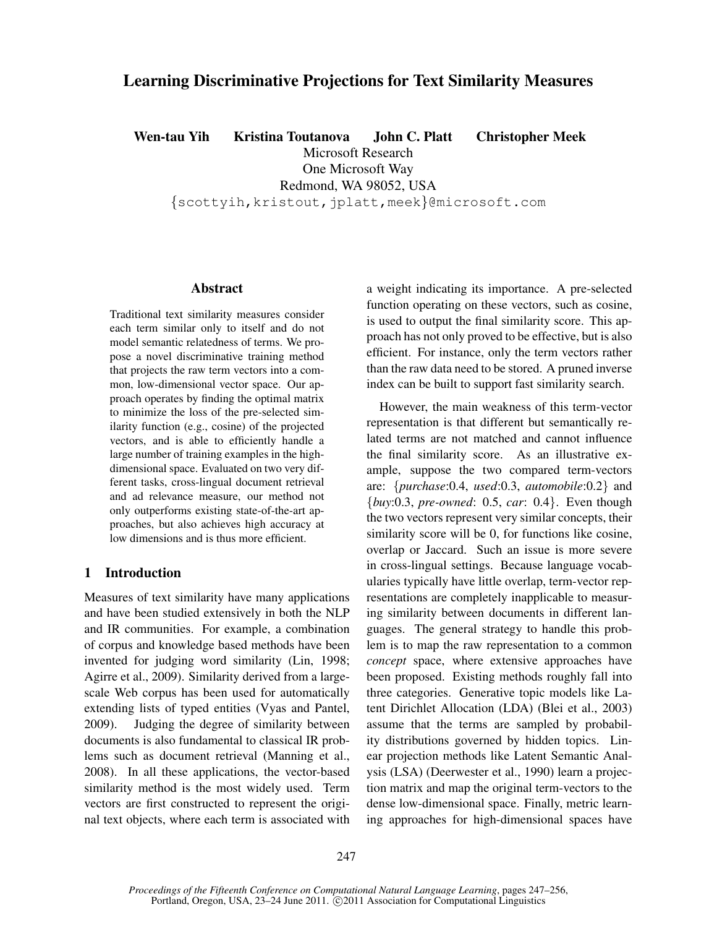# Learning Discriminative Projections for Text Similarity Measures

Wen-tau Yih Kristina Toutanova John C. Platt Christopher Meek Microsoft Research

One Microsoft Way

Redmond, WA 98052, USA

{scottyih,kristout,jplatt,meek}@microsoft.com

# Abstract

Traditional text similarity measures consider each term similar only to itself and do not model semantic relatedness of terms. We propose a novel discriminative training method that projects the raw term vectors into a common, low-dimensional vector space. Our approach operates by finding the optimal matrix to minimize the loss of the pre-selected similarity function (e.g., cosine) of the projected vectors, and is able to efficiently handle a large number of training examples in the highdimensional space. Evaluated on two very different tasks, cross-lingual document retrieval and ad relevance measure, our method not only outperforms existing state-of-the-art approaches, but also achieves high accuracy at low dimensions and is thus more efficient.

# 1 Introduction

Measures of text similarity have many applications and have been studied extensively in both the NLP and IR communities. For example, a combination of corpus and knowledge based methods have been invented for judging word similarity (Lin, 1998; Agirre et al., 2009). Similarity derived from a largescale Web corpus has been used for automatically extending lists of typed entities (Vyas and Pantel, 2009). Judging the degree of similarity between documents is also fundamental to classical IR problems such as document retrieval (Manning et al., 2008). In all these applications, the vector-based similarity method is the most widely used. Term vectors are first constructed to represent the original text objects, where each term is associated with a weight indicating its importance. A pre-selected function operating on these vectors, such as cosine, is used to output the final similarity score. This approach has not only proved to be effective, but is also efficient. For instance, only the term vectors rather than the raw data need to be stored. A pruned inverse index can be built to support fast similarity search.

However, the main weakness of this term-vector representation is that different but semantically related terms are not matched and cannot influence the final similarity score. As an illustrative example, suppose the two compared term-vectors are: {*purchase*:0.4, *used*:0.3, *automobile*:0.2} and {*buy*:0.3, *pre-owned*: 0.5, *car*: 0.4}. Even though the two vectors represent very similar concepts, their similarity score will be 0, for functions like cosine, overlap or Jaccard. Such an issue is more severe in cross-lingual settings. Because language vocabularies typically have little overlap, term-vector representations are completely inapplicable to measuring similarity between documents in different languages. The general strategy to handle this problem is to map the raw representation to a common *concept* space, where extensive approaches have been proposed. Existing methods roughly fall into three categories. Generative topic models like Latent Dirichlet Allocation (LDA) (Blei et al., 2003) assume that the terms are sampled by probability distributions governed by hidden topics. Linear projection methods like Latent Semantic Analysis (LSA) (Deerwester et al., 1990) learn a projection matrix and map the original term-vectors to the dense low-dimensional space. Finally, metric learning approaches for high-dimensional spaces have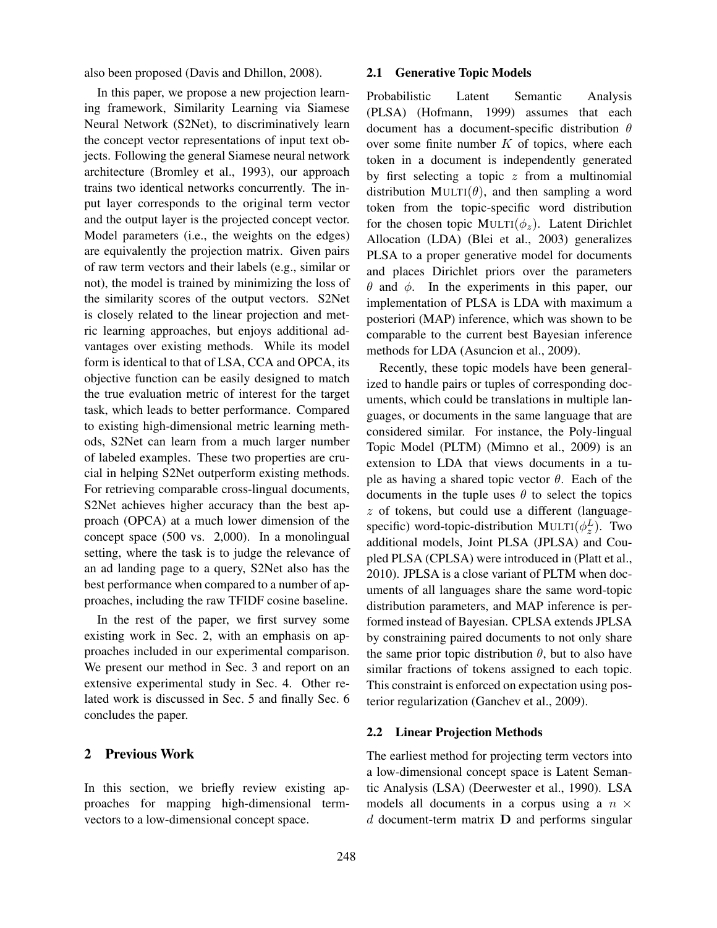also been proposed (Davis and Dhillon, 2008).

In this paper, we propose a new projection learning framework, Similarity Learning via Siamese Neural Network (S2Net), to discriminatively learn the concept vector representations of input text objects. Following the general Siamese neural network architecture (Bromley et al., 1993), our approach trains two identical networks concurrently. The input layer corresponds to the original term vector and the output layer is the projected concept vector. Model parameters (i.e., the weights on the edges) are equivalently the projection matrix. Given pairs of raw term vectors and their labels (e.g., similar or not), the model is trained by minimizing the loss of the similarity scores of the output vectors. S2Net is closely related to the linear projection and metric learning approaches, but enjoys additional advantages over existing methods. While its model form is identical to that of LSA, CCA and OPCA, its objective function can be easily designed to match the true evaluation metric of interest for the target task, which leads to better performance. Compared to existing high-dimensional metric learning methods, S2Net can learn from a much larger number of labeled examples. These two properties are crucial in helping S2Net outperform existing methods. For retrieving comparable cross-lingual documents, S2Net achieves higher accuracy than the best approach (OPCA) at a much lower dimension of the concept space (500 vs. 2,000). In a monolingual setting, where the task is to judge the relevance of an ad landing page to a query, S2Net also has the best performance when compared to a number of approaches, including the raw TFIDF cosine baseline.

In the rest of the paper, we first survey some existing work in Sec. 2, with an emphasis on approaches included in our experimental comparison. We present our method in Sec. 3 and report on an extensive experimental study in Sec. 4. Other related work is discussed in Sec. 5 and finally Sec. 6 concludes the paper.

# 2 Previous Work

In this section, we briefly review existing approaches for mapping high-dimensional termvectors to a low-dimensional concept space.

#### 2.1 Generative Topic Models

Probabilistic Latent Semantic Analysis (PLSA) (Hofmann, 1999) assumes that each document has a document-specific distribution  $\theta$ over some finite number  $K$  of topics, where each token in a document is independently generated by first selecting a topic  $z$  from a multinomial distribution MULTI( $\theta$ ), and then sampling a word token from the topic-specific word distribution for the chosen topic MULTI( $\phi_z$ ). Latent Dirichlet Allocation (LDA) (Blei et al., 2003) generalizes PLSA to a proper generative model for documents and places Dirichlet priors over the parameters θ and φ. In the experiments in this paper, our implementation of PLSA is LDA with maximum a posteriori (MAP) inference, which was shown to be comparable to the current best Bayesian inference methods for LDA (Asuncion et al., 2009).

Recently, these topic models have been generalized to handle pairs or tuples of corresponding documents, which could be translations in multiple languages, or documents in the same language that are considered similar. For instance, the Poly-lingual Topic Model (PLTM) (Mimno et al., 2009) is an extension to LDA that views documents in a tuple as having a shared topic vector  $\theta$ . Each of the documents in the tuple uses  $\theta$  to select the topics  $z$  of tokens, but could use a different (languagespecific) word-topic-distribution MULTI( $\phi_z^L$ ). Two additional models, Joint PLSA (JPLSA) and Coupled PLSA (CPLSA) were introduced in (Platt et al., 2010). JPLSA is a close variant of PLTM when documents of all languages share the same word-topic distribution parameters, and MAP inference is performed instead of Bayesian. CPLSA extends JPLSA by constraining paired documents to not only share the same prior topic distribution  $\theta$ , but to also have similar fractions of tokens assigned to each topic. This constraint is enforced on expectation using posterior regularization (Ganchev et al., 2009).

### 2.2 Linear Projection Methods

The earliest method for projecting term vectors into a low-dimensional concept space is Latent Semantic Analysis (LSA) (Deerwester et al., 1990). LSA models all documents in a corpus using a  $n \times$  $d$  document-term matrix  $D$  and performs singular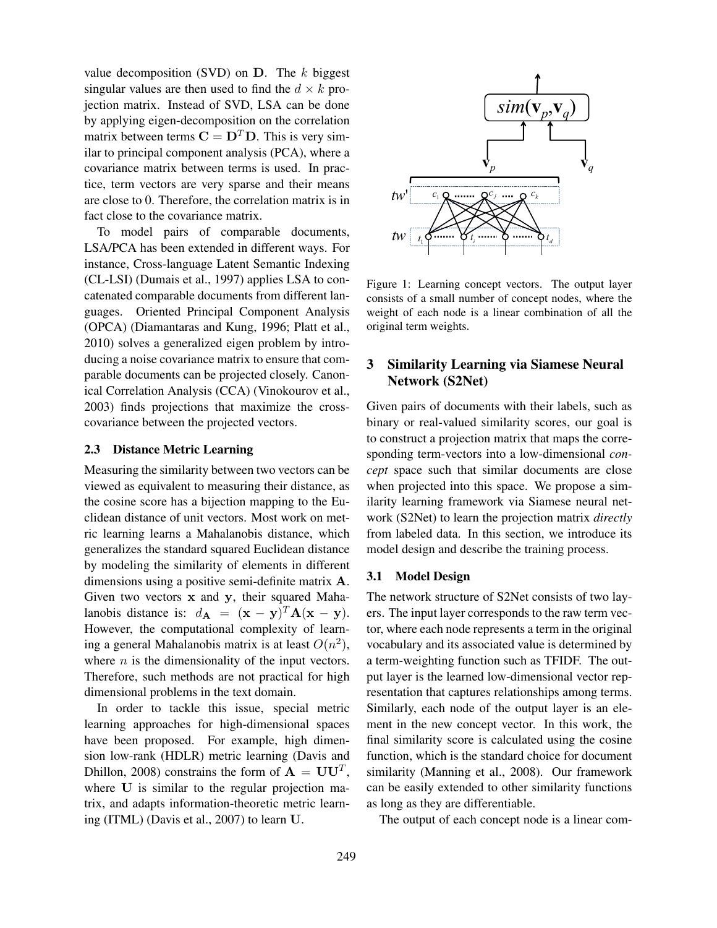value decomposition (SVD) on  $D$ . The k biggest singular values are then used to find the  $d \times k$  projection matrix. Instead of SVD, LSA can be done by applying eigen-decomposition on the correlation matrix between terms  $C = D<sup>T</sup>D$ . This is very similar to principal component analysis (PCA), where a covariance matrix between terms is used. In practice, term vectors are very sparse and their means are close to 0. Therefore, the correlation matrix is in fact close to the covariance matrix.

To model pairs of comparable documents, LSA/PCA has been extended in different ways. For instance, Cross-language Latent Semantic Indexing (CL-LSI) (Dumais et al., 1997) applies LSA to concatenated comparable documents from different languages. Oriented Principal Component Analysis (OPCA) (Diamantaras and Kung, 1996; Platt et al., 2010) solves a generalized eigen problem by introducing a noise covariance matrix to ensure that comparable documents can be projected closely. Canonical Correlation Analysis (CCA) (Vinokourov et al., 2003) finds projections that maximize the crosscovariance between the projected vectors.

### 2.3 Distance Metric Learning

Measuring the similarity between two vectors can be viewed as equivalent to measuring their distance, as the cosine score has a bijection mapping to the Euclidean distance of unit vectors. Most work on metric learning learns a Mahalanobis distance, which generalizes the standard squared Euclidean distance by modeling the similarity of elements in different dimensions using a positive semi-definite matrix A. Given two vectors x and y, their squared Mahalanobis distance is:  $d_{\mathbf{A}} = (\mathbf{x} - \mathbf{y})^T \mathbf{A} (\mathbf{x} - \mathbf{y}).$ However, the computational complexity of learning a general Mahalanobis matrix is at least  $O(n^2)$ , where  $n$  is the dimensionality of the input vectors. Therefore, such methods are not practical for high dimensional problems in the text domain.

In order to tackle this issue, special metric learning approaches for high-dimensional spaces have been proposed. For example, high dimension low-rank (HDLR) metric learning (Davis and Dhillon, 2008) constrains the form of  $A = U U^T$ , where U is similar to the regular projection matrix, and adapts information-theoretic metric learning (ITML) (Davis et al., 2007) to learn U.



Figure 1: Learning concept vectors. The output layer consists of a small number of concept nodes, where the weight of each node is a linear combination of all the original term weights.

# 3 Similarity Learning via Siamese Neural Network (S2Net)

Given pairs of documents with their labels, such as binary or real-valued similarity scores, our goal is to construct a projection matrix that maps the corresponding term-vectors into a low-dimensional *concept* space such that similar documents are close when projected into this space. We propose a similarity learning framework via Siamese neural network (S2Net) to learn the projection matrix *directly* from labeled data. In this section, we introduce its model design and describe the training process.

### 3.1 Model Design

The network structure of S2Net consists of two layers. The input layer corresponds to the raw term vector, where each node represents a term in the original vocabulary and its associated value is determined by a term-weighting function such as TFIDF. The output layer is the learned low-dimensional vector representation that captures relationships among terms. Similarly, each node of the output layer is an element in the new concept vector. In this work, the final similarity score is calculated using the cosine function, which is the standard choice for document similarity (Manning et al., 2008). Our framework can be easily extended to other similarity functions as long as they are differentiable.

The output of each concept node is a linear com-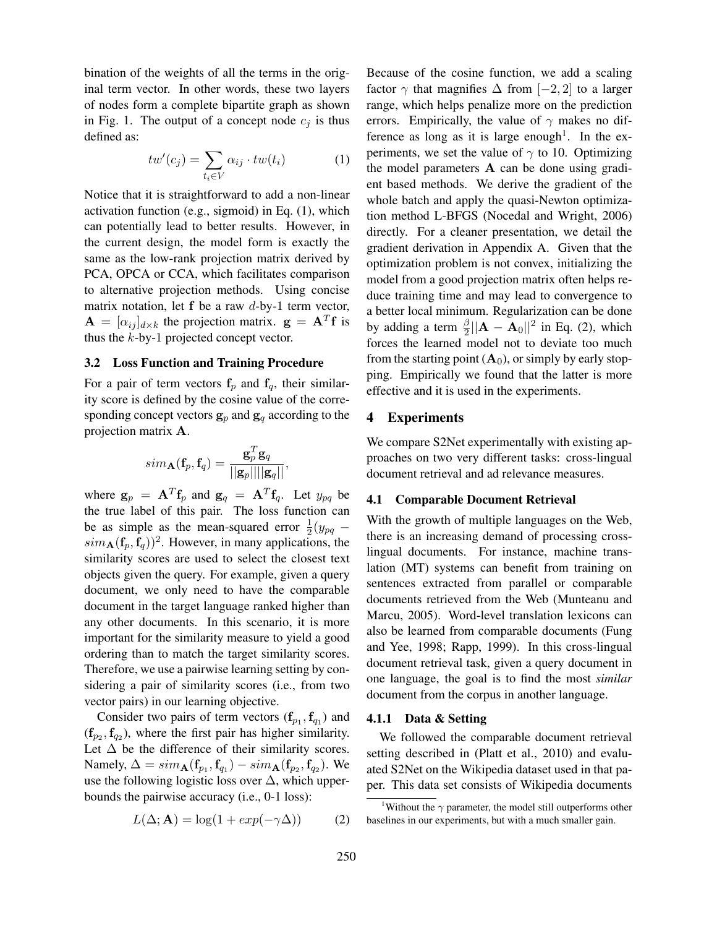bination of the weights of all the terms in the original term vector. In other words, these two layers of nodes form a complete bipartite graph as shown in Fig. 1. The output of a concept node  $c_i$  is thus defined as:

$$
tw'(c_j) = \sum_{t_i \in V} \alpha_{ij} \cdot tw(t_i) \tag{1}
$$

Notice that it is straightforward to add a non-linear activation function (e.g., sigmoid) in Eq. (1), which can potentially lead to better results. However, in the current design, the model form is exactly the same as the low-rank projection matrix derived by PCA, OPCA or CCA, which facilitates comparison to alternative projection methods. Using concise matrix notation, let  $f$  be a raw  $d$ -by-1 term vector,  $\mathbf{A} = [\alpha_{ij}]_{d \times k}$  the projection matrix.  $\mathbf{g} = \mathbf{A}^T \mathbf{f}$  is thus the k-by-1 projected concept vector.

### 3.2 Loss Function and Training Procedure

For a pair of term vectors  $f_p$  and  $f_q$ , their similarity score is defined by the cosine value of the corresponding concept vectors  $g_p$  and  $g_q$  according to the projection matrix A.

$$
sim_{\mathbf{A}}(\mathbf{f}_p, \mathbf{f}_q) = \frac{\mathbf{g}_p^T \mathbf{g}_q}{||\mathbf{g}_p|| ||\mathbf{g}_q||},
$$

where  $\mathbf{g}_p = \mathbf{A}^T \mathbf{f}_p$  and  $\mathbf{g}_q = \mathbf{A}^T \mathbf{f}_q$ . Let  $y_{pq}$  be the true label of this pair. The loss function can be as simple as the mean-squared error  $\frac{1}{2}(y_{pq}$  –  $\sinh A(\mathbf{f}_p, \mathbf{f}_q))^2$ . However, in many applications, the similarity scores are used to select the closest text objects given the query. For example, given a query document, we only need to have the comparable document in the target language ranked higher than any other documents. In this scenario, it is more important for the similarity measure to yield a good ordering than to match the target similarity scores. Therefore, we use a pairwise learning setting by considering a pair of similarity scores (i.e., from two vector pairs) in our learning objective.

Consider two pairs of term vectors  $(f_{p_1}, f_{q_1})$  and  $(f_{p_2}, f_{q_2})$ , where the first pair has higher similarity. Let  $\Delta$  be the difference of their similarity scores. Namely,  $\Delta = sim_{\mathbf{A}}(\mathbf{f}_{p_1}, \mathbf{f}_{q_1}) - sim_{\mathbf{A}}(\mathbf{f}_{p_2}, \mathbf{f}_{q_2})$ . We use the following logistic loss over  $\Delta$ , which upperbounds the pairwise accuracy (i.e., 0-1 loss):

$$
L(\Delta; \mathbf{A}) = \log(1 + exp(-\gamma \Delta))
$$
 (2)

Because of the cosine function, we add a scaling factor  $\gamma$  that magnifies  $\Delta$  from [−2, 2] to a larger range, which helps penalize more on the prediction errors. Empirically, the value of  $\gamma$  makes no difference as long as it is large enough<sup>1</sup>. In the experiments, we set the value of  $\gamma$  to 10. Optimizing the model parameters A can be done using gradient based methods. We derive the gradient of the whole batch and apply the quasi-Newton optimization method L-BFGS (Nocedal and Wright, 2006) directly. For a cleaner presentation, we detail the gradient derivation in Appendix A. Given that the optimization problem is not convex, initializing the model from a good projection matrix often helps reduce training time and may lead to convergence to a better local minimum. Regularization can be done by adding a term  $\frac{\beta}{2}||\mathbf{A} - \mathbf{A}_0||^2$  in Eq. (2), which forces the learned model not to deviate too much from the starting point  $(A_0)$ , or simply by early stopping. Empirically we found that the latter is more effective and it is used in the experiments.

## 4 Experiments

We compare S2Net experimentally with existing approaches on two very different tasks: cross-lingual document retrieval and ad relevance measures.

## 4.1 Comparable Document Retrieval

With the growth of multiple languages on the Web, there is an increasing demand of processing crosslingual documents. For instance, machine translation (MT) systems can benefit from training on sentences extracted from parallel or comparable documents retrieved from the Web (Munteanu and Marcu, 2005). Word-level translation lexicons can also be learned from comparable documents (Fung and Yee, 1998; Rapp, 1999). In this cross-lingual document retrieval task, given a query document in one language, the goal is to find the most *similar* document from the corpus in another language.

## 4.1.1 Data & Setting

We followed the comparable document retrieval setting described in (Platt et al., 2010) and evaluated S2Net on the Wikipedia dataset used in that paper. This data set consists of Wikipedia documents

<sup>&</sup>lt;sup>1</sup>Without the  $\gamma$  parameter, the model still outperforms other baselines in our experiments, but with a much smaller gain.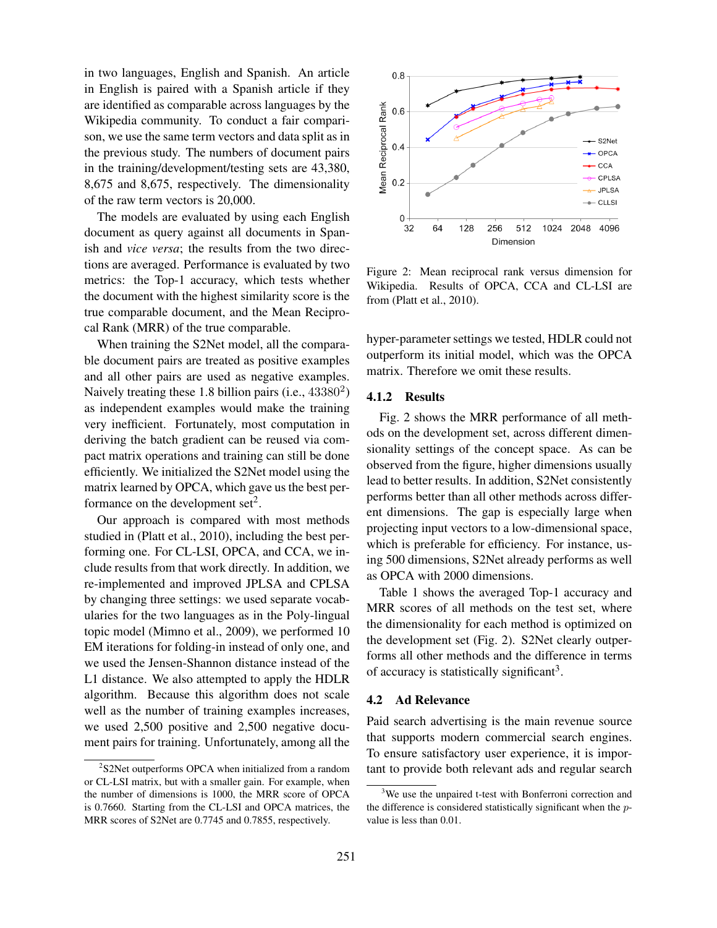in two languages, English and Spanish. An article in English is paired with a Spanish article if they are identified as comparable across languages by the Wikipedia community. To conduct a fair comparison, we use the same term vectors and data split as in the previous study. The numbers of document pairs in the training/development/testing sets are 43,380, 8,675 and 8,675, respectively. The dimensionality of the raw term vectors is 20,000.

The models are evaluated by using each English document as query against all documents in Spanish and *vice versa*; the results from the two directions are averaged. Performance is evaluated by two metrics: the Top-1 accuracy, which tests whether the document with the highest similarity score is the true comparable document, and the Mean Reciprocal Rank (MRR) of the true comparable.

When training the S2Net model, all the comparable document pairs are treated as positive examples and all other pairs are used as negative examples. Naively treating these 1.8 billion pairs (i.e., 43380<sup>2</sup>) as independent examples would make the training very inefficient. Fortunately, most computation in deriving the batch gradient can be reused via compact matrix operations and training can still be done efficiently. We initialized the S2Net model using the matrix learned by OPCA, which gave us the best performance on the development  $set<sup>2</sup>$ .

Our approach is compared with most methods studied in (Platt et al., 2010), including the best performing one. For CL-LSI, OPCA, and CCA, we include results from that work directly. In addition, we re-implemented and improved JPLSA and CPLSA by changing three settings: we used separate vocabularies for the two languages as in the Poly-lingual topic model (Mimno et al., 2009), we performed 10 EM iterations for folding-in instead of only one, and we used the Jensen-Shannon distance instead of the L1 distance. We also attempted to apply the HDLR algorithm. Because this algorithm does not scale well as the number of training examples increases, we used 2,500 positive and 2,500 negative document pairs for training. Unfortunately, among all the



Figure 2: Mean reciprocal rank versus dimension for Wikipedia. Results of OPCA, CCA and CL-LSI are from (Platt et al., 2010).

hyper-parameter settings we tested, HDLR could not outperform its initial model, which was the OPCA matrix. Therefore we omit these results.

### 4.1.2 Results

Fig. 2 shows the MRR performance of all methods on the development set, across different dimensionality settings of the concept space. As can be observed from the figure, higher dimensions usually lead to better results. In addition, S2Net consistently performs better than all other methods across different dimensions. The gap is especially large when projecting input vectors to a low-dimensional space, which is preferable for efficiency. For instance, using 500 dimensions, S2Net already performs as well as OPCA with 2000 dimensions.

Table 1 shows the averaged Top-1 accuracy and MRR scores of all methods on the test set, where the dimensionality for each method is optimized on the development set (Fig. 2). S2Net clearly outperforms all other methods and the difference in terms of accuracy is statistically significant<sup>3</sup>.

## 4.2 Ad Relevance

Paid search advertising is the main revenue source that supports modern commercial search engines. To ensure satisfactory user experience, it is important to provide both relevant ads and regular search

<sup>&</sup>lt;sup>2</sup>S2Net outperforms OPCA when initialized from a random or CL-LSI matrix, but with a smaller gain. For example, when the number of dimensions is 1000, the MRR score of OPCA is 0.7660. Starting from the CL-LSI and OPCA matrices, the MRR scores of S2Net are 0.7745 and 0.7855, respectively.

<sup>&</sup>lt;sup>3</sup>We use the unpaired t-test with Bonferroni correction and the difference is considered statistically significant when the pvalue is less than 0.01.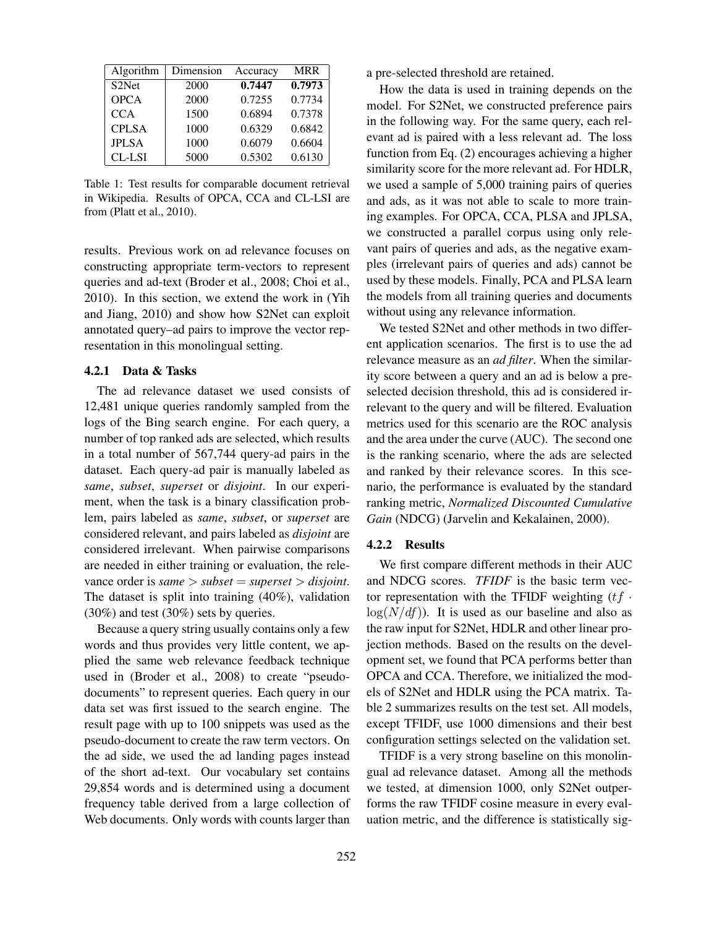| Algorithm          | Dimension | Accuracy | <b>MRR</b> |
|--------------------|-----------|----------|------------|
| S <sub>2</sub> Net | 2000      | 0.7447   | 0.7973     |
| <b>OPCA</b>        | 2000      | 0.7255   | 0.7734     |
| <b>CCA</b>         | 1500      | 0.6894   | 0.7378     |
| <b>CPLSA</b>       | 1000      | 0.6329   | 0.6842     |
| <b>JPLSA</b>       | 1000      | 0.6079   | 0.6604     |
| CL-LSI             | 5000      | 0.5302   | 0.6130     |

Table 1: Test results for comparable document retrieval in Wikipedia. Results of OPCA, CCA and CL-LSI are from (Platt et al., 2010).

results. Previous work on ad relevance focuses on constructing appropriate term-vectors to represent queries and ad-text (Broder et al., 2008; Choi et al., 2010). In this section, we extend the work in (Yih and Jiang, 2010) and show how S2Net can exploit annotated query–ad pairs to improve the vector representation in this monolingual setting.

## 4.2.1 Data & Tasks

The ad relevance dataset we used consists of 12,481 unique queries randomly sampled from the logs of the Bing search engine. For each query, a number of top ranked ads are selected, which results in a total number of 567,744 query-ad pairs in the dataset. Each query-ad pair is manually labeled as *same*, *subset*, *superset* or *disjoint*. In our experiment, when the task is a binary classification problem, pairs labeled as *same*, *subset*, or *superset* are considered relevant, and pairs labeled as *disjoint* are considered irrelevant. When pairwise comparisons are needed in either training or evaluation, the relevance order is *same* > *subset* = *superset* > *disjoint*. The dataset is split into training (40%), validation (30%) and test (30%) sets by queries.

Because a query string usually contains only a few words and thus provides very little content, we applied the same web relevance feedback technique used in (Broder et al., 2008) to create "pseudodocuments" to represent queries. Each query in our data set was first issued to the search engine. The result page with up to 100 snippets was used as the pseudo-document to create the raw term vectors. On the ad side, we used the ad landing pages instead of the short ad-text. Our vocabulary set contains 29,854 words and is determined using a document frequency table derived from a large collection of Web documents. Only words with counts larger than a pre-selected threshold are retained.

How the data is used in training depends on the model. For S2Net, we constructed preference pairs in the following way. For the same query, each relevant ad is paired with a less relevant ad. The loss function from Eq. (2) encourages achieving a higher similarity score for the more relevant ad. For HDLR, we used a sample of 5,000 training pairs of queries and ads, as it was not able to scale to more training examples. For OPCA, CCA, PLSA and JPLSA, we constructed a parallel corpus using only relevant pairs of queries and ads, as the negative examples (irrelevant pairs of queries and ads) cannot be used by these models. Finally, PCA and PLSA learn the models from all training queries and documents without using any relevance information.

We tested S2Net and other methods in two different application scenarios. The first is to use the ad relevance measure as an *ad filter*. When the similarity score between a query and an ad is below a preselected decision threshold, this ad is considered irrelevant to the query and will be filtered. Evaluation metrics used for this scenario are the ROC analysis and the area under the curve (AUC). The second one is the ranking scenario, where the ads are selected and ranked by their relevance scores. In this scenario, the performance is evaluated by the standard ranking metric, *Normalized Discounted Cumulative Gain* (NDCG) (Jarvelin and Kekalainen, 2000).

### 4.2.2 Results

We first compare different methods in their AUC and NDCG scores. *TFIDF* is the basic term vector representation with the TFIDF weighting  $(tf \cdot$  $log(N/df))$ . It is used as our baseline and also as the raw input for S2Net, HDLR and other linear projection methods. Based on the results on the development set, we found that PCA performs better than OPCA and CCA. Therefore, we initialized the models of S2Net and HDLR using the PCA matrix. Table 2 summarizes results on the test set. All models, except TFIDF, use 1000 dimensions and their best configuration settings selected on the validation set.

TFIDF is a very strong baseline on this monolingual ad relevance dataset. Among all the methods we tested, at dimension 1000, only S2Net outperforms the raw TFIDF cosine measure in every evaluation metric, and the difference is statistically sig-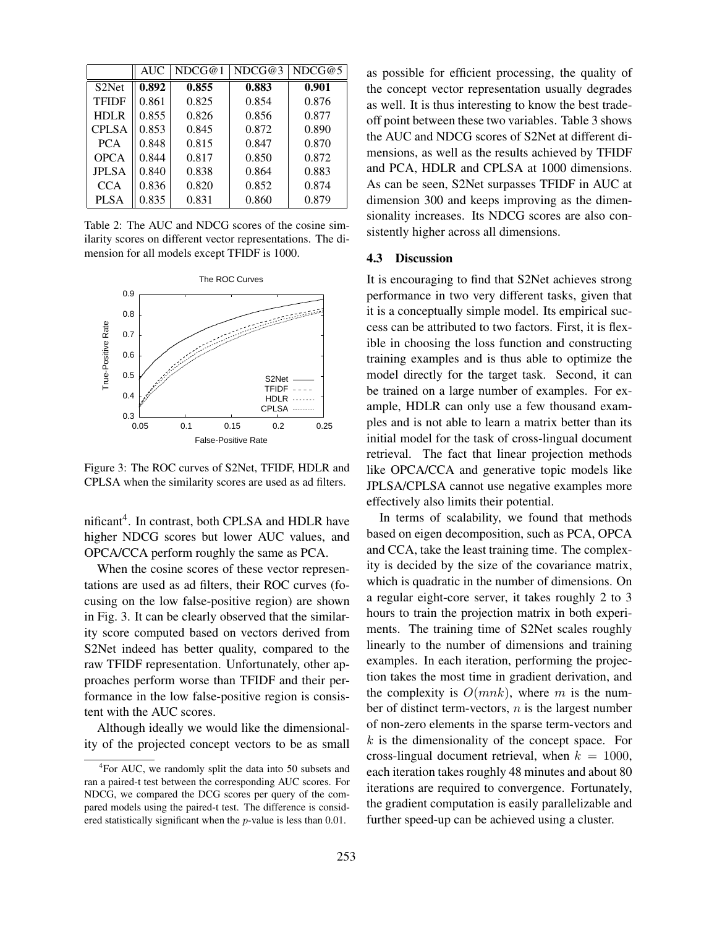|                    | <b>AUC</b> | NDCG@1 | NDCG@3 | NDCG@5 |  |
|--------------------|------------|--------|--------|--------|--|
| S <sub>2</sub> Net | 0.892      | 0.855  | 0.883  | 0.901  |  |
| <b>TFIDF</b>       | 0.861      | 0.825  | 0.854  | 0.876  |  |
| <b>HDLR</b>        | 0.855      | 0.826  | 0.856  | 0.877  |  |
| <b>CPLSA</b>       | 0.853      | 0.845  | 0.872  | 0.890  |  |
| <b>PCA</b>         | 0.848      | 0.815  | 0.847  | 0.870  |  |
| <b>OPCA</b>        | 0.844      | 0.817  | 0.850  | 0.872  |  |
| <b>JPLSA</b>       | 0.840      | 0.838  | 0.864  | 0.883  |  |
| <b>CCA</b>         | 0.836      | 0.820  | 0.852  | 0.874  |  |
| <b>PLSA</b>        | 0.835      | 0.831  | 0.860  | 0.879  |  |

Table 2: The AUC and NDCG scores of the cosine similarity scores on different vector representations. The dimension for all models except TFIDF is 1000.



Figure 3: The ROC curves of S2Net, TFIDF, HDLR and CPLSA when the similarity scores are used as ad filters.

nificant<sup>4</sup>. In contrast, both CPLSA and HDLR have higher NDCG scores but lower AUC values, and OPCA/CCA perform roughly the same as PCA.

When the cosine scores of these vector representations are used as ad filters, their ROC curves (focusing on the low false-positive region) are shown in Fig. 3. It can be clearly observed that the similarity score computed based on vectors derived from S2Net indeed has better quality, compared to the raw TFIDF representation. Unfortunately, other approaches perform worse than TFIDF and their performance in the low false-positive region is consistent with the AUC scores.

Although ideally we would like the dimensionality of the projected concept vectors to be as small as possible for efficient processing, the quality of the concept vector representation usually degrades as well. It is thus interesting to know the best tradeoff point between these two variables. Table 3 shows the AUC and NDCG scores of S2Net at different dimensions, as well as the results achieved by TFIDF and PCA, HDLR and CPLSA at 1000 dimensions. As can be seen, S2Net surpasses TFIDF in AUC at dimension 300 and keeps improving as the dimensionality increases. Its NDCG scores are also consistently higher across all dimensions.

# 4.3 Discussion

TFIDF be trained on a large number of examples. For ex- $HDLR$  .......  $\uparrow$ CPLSA <u>Andrew ample</u>, HDLR can only use a few thousand exam-It is encouraging to find that S2Net achieves strong performance in two very different tasks, given that it is a conceptually simple model. Its empirical success can be attributed to two factors. First, it is flexible in choosing the loss function and constructing training examples and is thus able to optimize the model directly for the target task. Second, it can ples and is not able to learn a matrix better than its initial model for the task of cross-lingual document retrieval. The fact that linear projection methods like OPCA/CCA and generative topic models like JPLSA/CPLSA cannot use negative examples more effectively also limits their potential.

> In terms of scalability, we found that methods based on eigen decomposition, such as PCA, OPCA and CCA, take the least training time. The complexity is decided by the size of the covariance matrix, which is quadratic in the number of dimensions. On a regular eight-core server, it takes roughly 2 to 3 hours to train the projection matrix in both experiments. The training time of S2Net scales roughly linearly to the number of dimensions and training examples. In each iteration, performing the projection takes the most time in gradient derivation, and the complexity is  $O(mnk)$ , where m is the number of distinct term-vectors,  $n$  is the largest number of non-zero elements in the sparse term-vectors and  $k$  is the dimensionality of the concept space. For cross-lingual document retrieval, when  $k = 1000$ , each iteration takes roughly 48 minutes and about 80 iterations are required to convergence. Fortunately, the gradient computation is easily parallelizable and further speed-up can be achieved using a cluster.

<sup>&</sup>lt;sup>4</sup>For AUC, we randomly split the data into 50 subsets and ran a paired-t test between the corresponding AUC scores. For NDCG, we compared the DCG scores per query of the compared models using the paired-t test. The difference is considered statistically significant when the p-value is less than 0.01.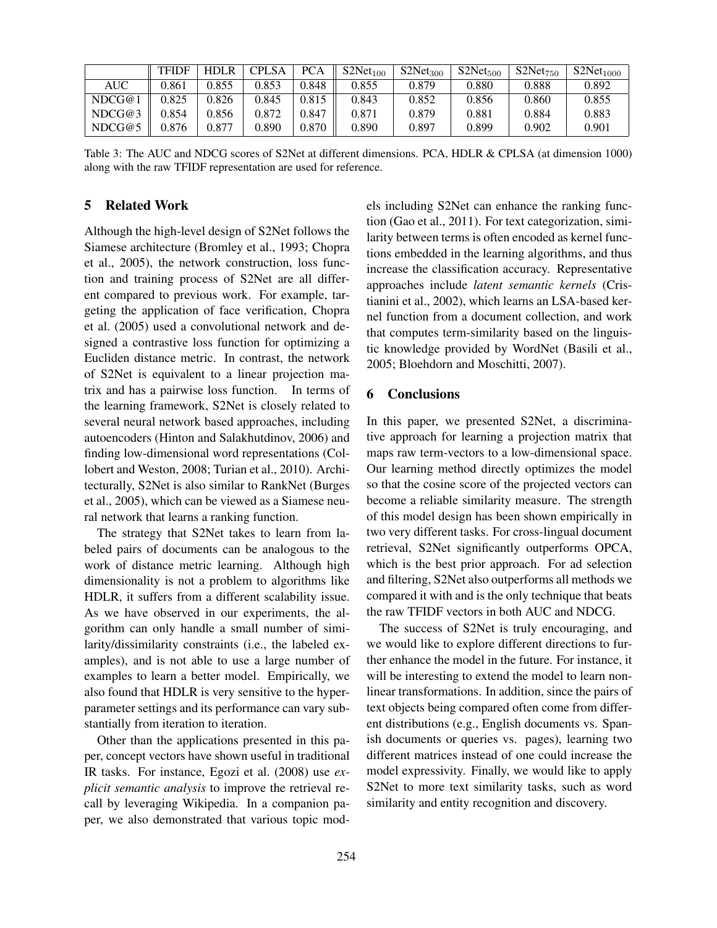|        | <b>TFIDF</b> | <b>HDLR</b> | <b>CPLSA</b> | <b>PCA</b> | S2Net <sub>100</sub> | S2Net <sub>300</sub> | S2Net <sub>500</sub> | S2Net <sub>750</sub> | S2Net <sub>1000</sub> |
|--------|--------------|-------------|--------------|------------|----------------------|----------------------|----------------------|----------------------|-----------------------|
| AUC    | 9.861        | 0.855       | 0.853        | 0.848      | 0.855                | 0.879                | 0.880                | 0.888                | 0.892                 |
| NDCG@1 | 0.825        | 0.826       | 0.845        | 0.815      | 0.843                | 0.852                | 0.856                | 0.860                | 0.855                 |
| NDCG@3 | 9.854        | 0.856       | 0.872        | 0.847      | 0.871                | 0.879                | 0.881                | 0.884                | 0.883                 |
| NDCG@5 | 0.876        | 0.877       | 0.890        | 0.870      | 0.890                | 0.897                | 0.899                | 0.902                | 0.901                 |

Table 3: The AUC and NDCG scores of S2Net at different dimensions. PCA, HDLR & CPLSA (at dimension 1000) along with the raw TFIDF representation are used for reference.

# 5 Related Work

Although the high-level design of S2Net follows the Siamese architecture (Bromley et al., 1993; Chopra et al., 2005), the network construction, loss function and training process of S2Net are all different compared to previous work. For example, targeting the application of face verification, Chopra et al. (2005) used a convolutional network and designed a contrastive loss function for optimizing a Eucliden distance metric. In contrast, the network of S2Net is equivalent to a linear projection matrix and has a pairwise loss function. In terms of the learning framework, S2Net is closely related to several neural network based approaches, including autoencoders (Hinton and Salakhutdinov, 2006) and finding low-dimensional word representations (Collobert and Weston, 2008; Turian et al., 2010). Architecturally, S2Net is also similar to RankNet (Burges et al., 2005), which can be viewed as a Siamese neural network that learns a ranking function.

The strategy that S2Net takes to learn from labeled pairs of documents can be analogous to the work of distance metric learning. Although high dimensionality is not a problem to algorithms like HDLR, it suffers from a different scalability issue. As we have observed in our experiments, the algorithm can only handle a small number of similarity/dissimilarity constraints (i.e., the labeled examples), and is not able to use a large number of examples to learn a better model. Empirically, we also found that HDLR is very sensitive to the hyperparameter settings and its performance can vary substantially from iteration to iteration.

Other than the applications presented in this paper, concept vectors have shown useful in traditional IR tasks. For instance, Egozi et al. (2008) use *explicit semantic analysis* to improve the retrieval recall by leveraging Wikipedia. In a companion paper, we also demonstrated that various topic models including S2Net can enhance the ranking function (Gao et al., 2011). For text categorization, similarity between terms is often encoded as kernel functions embedded in the learning algorithms, and thus increase the classification accuracy. Representative approaches include *latent semantic kernels* (Cristianini et al., 2002), which learns an LSA-based kernel function from a document collection, and work that computes term-similarity based on the linguistic knowledge provided by WordNet (Basili et al., 2005; Bloehdorn and Moschitti, 2007).

## 6 Conclusions

In this paper, we presented S2Net, a discriminative approach for learning a projection matrix that maps raw term-vectors to a low-dimensional space. Our learning method directly optimizes the model so that the cosine score of the projected vectors can become a reliable similarity measure. The strength of this model design has been shown empirically in two very different tasks. For cross-lingual document retrieval, S2Net significantly outperforms OPCA, which is the best prior approach. For ad selection and filtering, S2Net also outperforms all methods we compared it with and is the only technique that beats the raw TFIDF vectors in both AUC and NDCG.

The success of S2Net is truly encouraging, and we would like to explore different directions to further enhance the model in the future. For instance, it will be interesting to extend the model to learn nonlinear transformations. In addition, since the pairs of text objects being compared often come from different distributions (e.g., English documents vs. Spanish documents or queries vs. pages), learning two different matrices instead of one could increase the model expressivity. Finally, we would like to apply S2Net to more text similarity tasks, such as word similarity and entity recognition and discovery.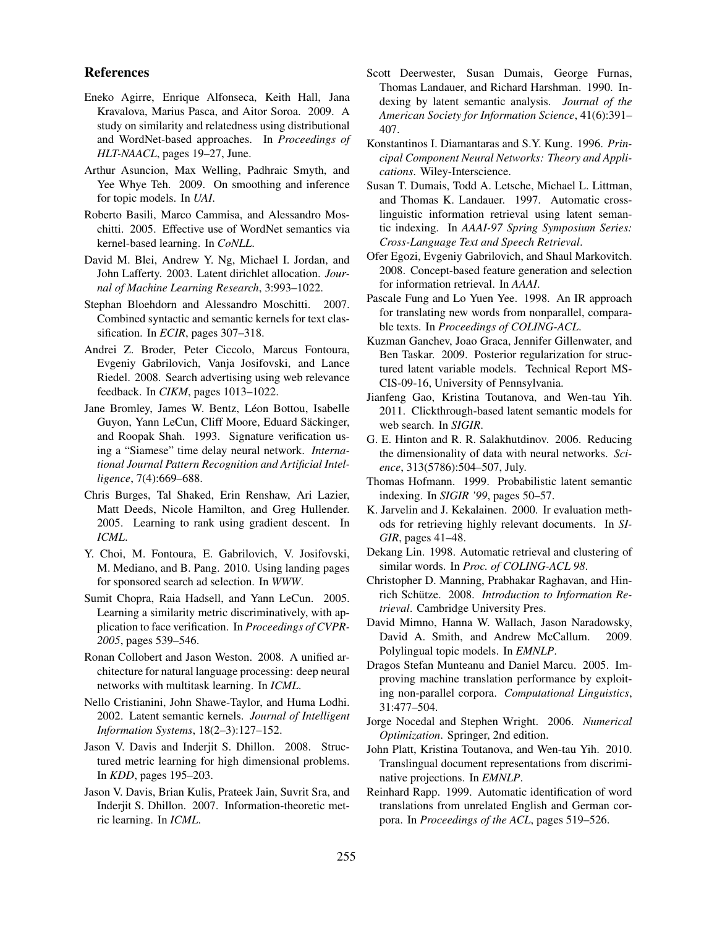## References

- Eneko Agirre, Enrique Alfonseca, Keith Hall, Jana Kravalova, Marius Pasca, and Aitor Soroa. 2009. A study on similarity and relatedness using distributional and WordNet-based approaches. In *Proceedings of HLT-NAACL*, pages 19–27, June.
- Arthur Asuncion, Max Welling, Padhraic Smyth, and Yee Whye Teh. 2009. On smoothing and inference for topic models. In *UAI*.
- Roberto Basili, Marco Cammisa, and Alessandro Moschitti. 2005. Effective use of WordNet semantics via kernel-based learning. In *CoNLL*.
- David M. Blei, Andrew Y. Ng, Michael I. Jordan, and John Lafferty. 2003. Latent dirichlet allocation. *Journal of Machine Learning Research*, 3:993–1022.
- Stephan Bloehdorn and Alessandro Moschitti. 2007. Combined syntactic and semantic kernels for text classification. In *ECIR*, pages 307–318.
- Andrei Z. Broder, Peter Ciccolo, Marcus Fontoura, Evgeniy Gabrilovich, Vanja Josifovski, and Lance Riedel. 2008. Search advertising using web relevance feedback. In *CIKM*, pages 1013–1022.
- Jane Bromley, James W. Bentz, Léon Bottou, Isabelle Guyon, Yann LeCun, Cliff Moore, Eduard Säckinger, and Roopak Shah. 1993. Signature verification using a "Siamese" time delay neural network. *International Journal Pattern Recognition and Artificial Intelligence*, 7(4):669–688.
- Chris Burges, Tal Shaked, Erin Renshaw, Ari Lazier, Matt Deeds, Nicole Hamilton, and Greg Hullender. 2005. Learning to rank using gradient descent. In *ICML*.
- Y. Choi, M. Fontoura, E. Gabrilovich, V. Josifovski, M. Mediano, and B. Pang. 2010. Using landing pages for sponsored search ad selection. In *WWW*.
- Sumit Chopra, Raia Hadsell, and Yann LeCun. 2005. Learning a similarity metric discriminatively, with application to face verification. In *Proceedings of CVPR-2005*, pages 539–546.
- Ronan Collobert and Jason Weston. 2008. A unified architecture for natural language processing: deep neural networks with multitask learning. In *ICML*.
- Nello Cristianini, John Shawe-Taylor, and Huma Lodhi. 2002. Latent semantic kernels. *Journal of Intelligent Information Systems*, 18(2–3):127–152.
- Jason V. Davis and Inderjit S. Dhillon. 2008. Structured metric learning for high dimensional problems. In *KDD*, pages 195–203.
- Jason V. Davis, Brian Kulis, Prateek Jain, Suvrit Sra, and Inderjit S. Dhillon. 2007. Information-theoretic metric learning. In *ICML*.
- Scott Deerwester, Susan Dumais, George Furnas, Thomas Landauer, and Richard Harshman. 1990. Indexing by latent semantic analysis. *Journal of the American Society for Information Science*, 41(6):391– 407.
- Konstantinos I. Diamantaras and S.Y. Kung. 1996. *Principal Component Neural Networks: Theory and Applications*. Wiley-Interscience.
- Susan T. Dumais, Todd A. Letsche, Michael L. Littman, and Thomas K. Landauer. 1997. Automatic crosslinguistic information retrieval using latent semantic indexing. In *AAAI-97 Spring Symposium Series: Cross-Language Text and Speech Retrieval*.
- Ofer Egozi, Evgeniy Gabrilovich, and Shaul Markovitch. 2008. Concept-based feature generation and selection for information retrieval. In *AAAI*.
- Pascale Fung and Lo Yuen Yee. 1998. An IR approach for translating new words from nonparallel, comparable texts. In *Proceedings of COLING-ACL*.
- Kuzman Ganchev, Joao Graca, Jennifer Gillenwater, and Ben Taskar. 2009. Posterior regularization for structured latent variable models. Technical Report MS-CIS-09-16, University of Pennsylvania.
- Jianfeng Gao, Kristina Toutanova, and Wen-tau Yih. 2011. Clickthrough-based latent semantic models for web search. In *SIGIR*.
- G. E. Hinton and R. R. Salakhutdinov. 2006. Reducing the dimensionality of data with neural networks. *Science*, 313(5786):504–507, July.
- Thomas Hofmann. 1999. Probabilistic latent semantic indexing. In *SIGIR '99*, pages 50–57.
- K. Jarvelin and J. Kekalainen. 2000. Ir evaluation methods for retrieving highly relevant documents. In *SI-GIR*, pages 41–48.
- Dekang Lin. 1998. Automatic retrieval and clustering of similar words. In *Proc. of COLING-ACL 98*.
- Christopher D. Manning, Prabhakar Raghavan, and Hinrich Schütze. 2008. Introduction to Information Re*trieval*. Cambridge University Pres.
- David Mimno, Hanna W. Wallach, Jason Naradowsky, David A. Smith, and Andrew McCallum. 2009. Polylingual topic models. In *EMNLP*.
- Dragos Stefan Munteanu and Daniel Marcu. 2005. Improving machine translation performance by exploiting non-parallel corpora. *Computational Linguistics*, 31:477–504.
- Jorge Nocedal and Stephen Wright. 2006. *Numerical Optimization*. Springer, 2nd edition.
- John Platt, Kristina Toutanova, and Wen-tau Yih. 2010. Translingual document representations from discriminative projections. In *EMNLP*.
- Reinhard Rapp. 1999. Automatic identification of word translations from unrelated English and German corpora. In *Proceedings of the ACL*, pages 519–526.